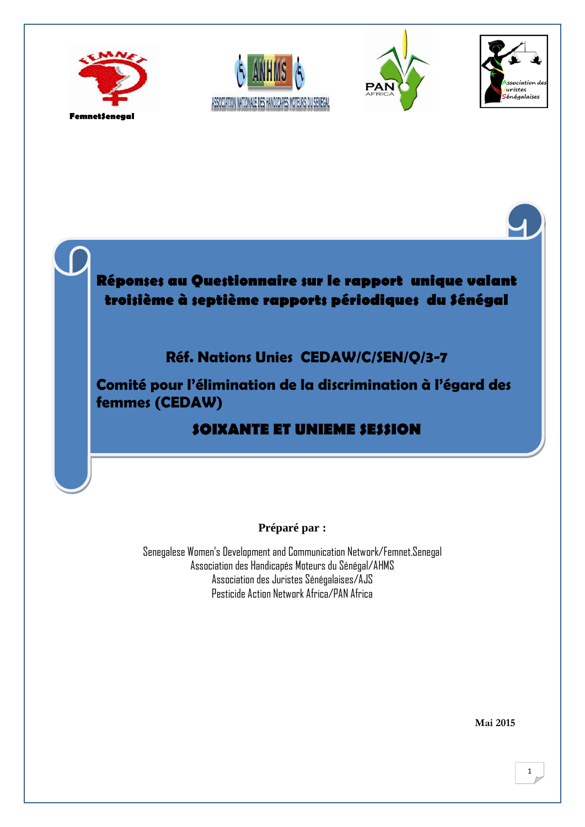









**Comité pour l'élimination de la discrimination à l'égard des SOIXANTE ET UNIEME SESSION femmes (CEDAW)**

### **SOIXANTE ET UNIEME SESSION**

#### **Préparé par :**

Senegalese [Women's Development and Communication Network/](http://womencount4peace.org/Institutions/organisations_r%C3%A9gionales/femnet/african_womens_development_and_communication_network)Femnet.Senegal Association des Handicapés Moteurs du Sénégal/AHMS Association des Juristes Sénégalaises/AJS Pesticide Action Network Africa/PAN Africa

**Mai 2015**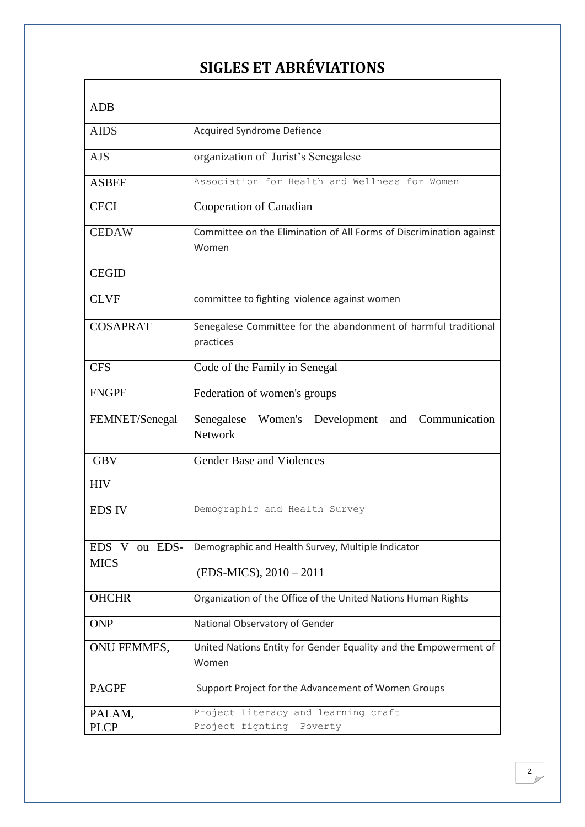## **SIGLES ET ABRÉVIATIONS**

| <b>ADB</b>       |                                                                              |
|------------------|------------------------------------------------------------------------------|
| <b>AIDS</b>      | Acquired Syndrome Defience                                                   |
|                  |                                                                              |
| <b>AJS</b>       | organization of Jurist's Senegalese                                          |
| <b>ASBEF</b>     | Association for Health and Wellness for Women                                |
| <b>CECI</b>      | Cooperation of Canadian                                                      |
| <b>CEDAW</b>     | Committee on the Elimination of All Forms of Discrimination against<br>Women |
| <b>CEGID</b>     |                                                                              |
| <b>CLVF</b>      | committee to fighting violence against women                                 |
| <b>COSAPRAT</b>  | Senegalese Committee for the abandonment of harmful traditional<br>practices |
| <b>CFS</b>       | Code of the Family in Senegal                                                |
| <b>FNGPF</b>     | Federation of women's groups                                                 |
| FEMNET/Senegal   | Senegalese Women's Development<br>Communication<br>and<br><b>Network</b>     |
| <b>GBV</b>       | <b>Gender Base and Violences</b>                                             |
| <b>HIV</b>       |                                                                              |
| <b>EDS IV</b>    | Demographic and Health Survey                                                |
| EDS V<br>ou EDS- | Demographic and Health Survey, Multiple Indicator                            |
| <b>MICS</b>      | (EDS-MICS), 2010 - 2011                                                      |
| <b>OHCHR</b>     | Organization of the Office of the United Nations Human Rights                |
|                  |                                                                              |
| <b>ONP</b>       | National Observatory of Gender                                               |
| ONU FEMMES,      | United Nations Entity for Gender Equality and the Empowerment of             |
|                  | Women                                                                        |
| <b>PAGPF</b>     | Support Project for the Advancement of Women Groups                          |
| PALAM,           | Project Literacy and learning craft                                          |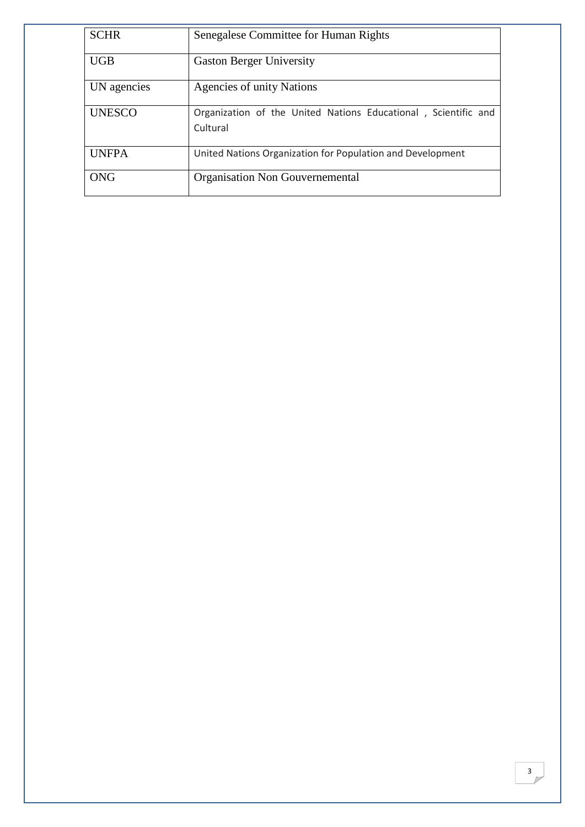| <b>SCHR</b>   | Senegalese Committee for Human Rights                                      |
|---------------|----------------------------------------------------------------------------|
| <b>UGB</b>    | <b>Gaston Berger University</b>                                            |
| UN agencies   | Agencies of unity Nations                                                  |
| <b>UNESCO</b> | Organization of the United Nations Educational, Scientific and<br>Cultural |
| <b>UNFPA</b>  | United Nations Organization for Population and Development                 |
| ONG           | Organisation Non Gouvernemental                                            |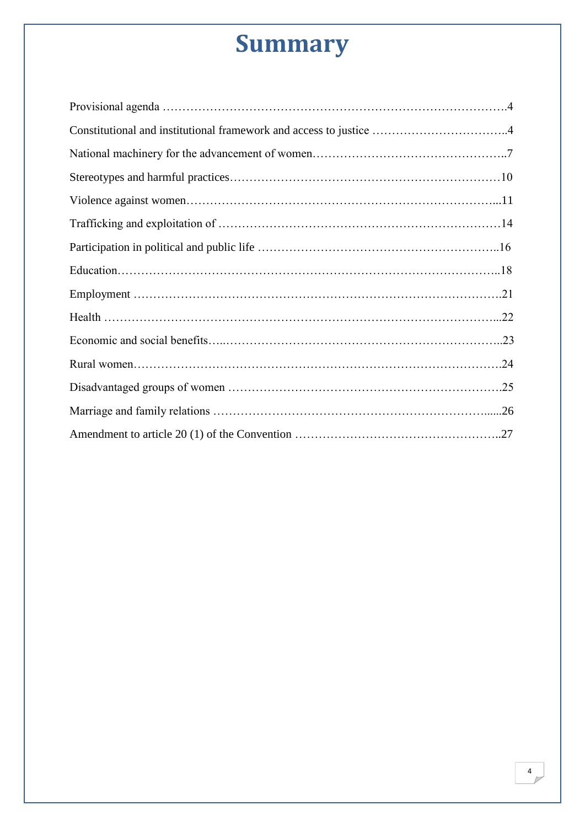# **Summary**

| Constitutional and institutional framework and access to justice 4 |  |
|--------------------------------------------------------------------|--|
|                                                                    |  |
|                                                                    |  |
|                                                                    |  |
|                                                                    |  |
|                                                                    |  |
|                                                                    |  |
|                                                                    |  |
|                                                                    |  |
|                                                                    |  |
|                                                                    |  |
|                                                                    |  |
|                                                                    |  |
|                                                                    |  |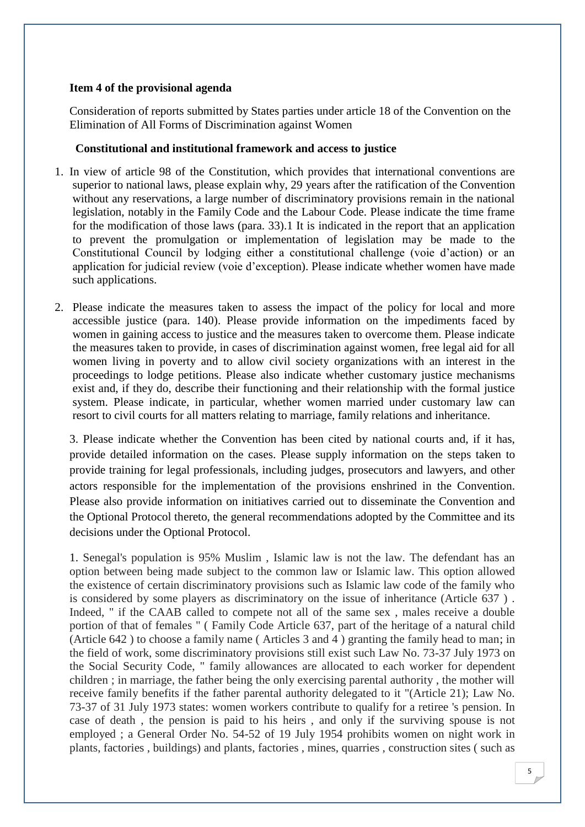#### **Item 4 of the provisional agenda**

Consideration of reports submitted by States parties under article 18 of the Convention on the Elimination of All Forms of Discrimination against Women

#### **Constitutional and institutional framework and access to justice**

- 1. In view of article 98 of the Constitution, which provides that international conventions are superior to national laws, please explain why, 29 years after the ratification of the Convention without any reservations, a large number of discriminatory provisions remain in the national legislation, notably in the Family Code and the Labour Code. Please indicate the time frame for the modification of those laws (para. 33).1 It is indicated in the report that an application to prevent the promulgation or implementation of legislation may be made to the Constitutional Council by lodging either a constitutional challenge (voie d'action) or an application for judicial review (voie d'exception). Please indicate whether women have made such applications.
- 2. Please indicate the measures taken to assess the impact of the policy for local and more accessible justice (para. 140). Please provide information on the impediments faced by women in gaining access to justice and the measures taken to overcome them. Please indicate the measures taken to provide, in cases of discrimination against women, free legal aid for all women living in poverty and to allow civil society organizations with an interest in the proceedings to lodge petitions. Please also indicate whether customary justice mechanisms exist and, if they do, describe their functioning and their relationship with the formal justice system. Please indicate, in particular, whether women married under customary law can resort to civil courts for all matters relating to marriage, family relations and inheritance.

3. Please indicate whether the Convention has been cited by national courts and, if it has, provide detailed information on the cases. Please supply information on the steps taken to provide training for legal professionals, including judges, prosecutors and lawyers, and other actors responsible for the implementation of the provisions enshrined in the Convention. Please also provide information on initiatives carried out to disseminate the Convention and the Optional Protocol thereto, the general recommendations adopted by the Committee and its decisions under the Optional Protocol.

1. Senegal's population is 95% Muslim , Islamic law is not the law. The defendant has an option between being made subject to the common law or Islamic law. This option allowed the existence of certain discriminatory provisions such as Islamic law code of the family who is considered by some players as discriminatory on the issue of inheritance (Article 637 ) . Indeed, " if the CAAB called to compete not all of the same sex , males receive a double portion of that of females " ( Family Code Article 637, part of the heritage of a natural child (Article 642 ) to choose a family name ( Articles 3 and 4 ) granting the family head to man; in the field of work, some discriminatory provisions still exist such Law No. 73-37 July 1973 on the Social Security Code, " family allowances are allocated to each worker for dependent children ; in marriage, the father being the only exercising parental authority , the mother will receive family benefits if the father parental authority delegated to it "(Article 21); Law No. 73-37 of 31 July 1973 states: women workers contribute to qualify for a retiree 's pension. In case of death , the pension is paid to his heirs , and only if the surviving spouse is not employed ; a General Order No. 54-52 of 19 July 1954 prohibits women on night work in plants, factories , buildings) and plants, factories , mines, quarries , construction sites ( such as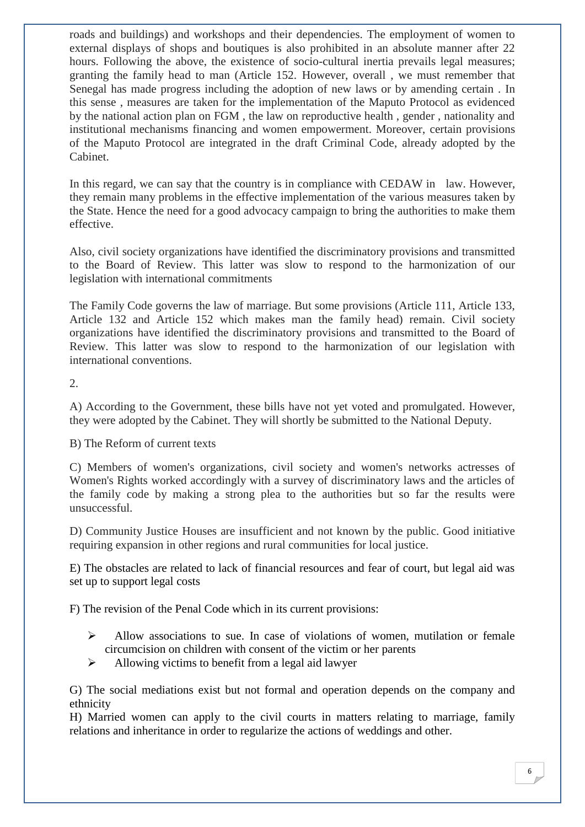roads and buildings) and workshops and their dependencies. The employment of women to external displays of shops and boutiques is also prohibited in an absolute manner after 22 hours. Following the above, the existence of socio-cultural inertia prevails legal measures; granting the family head to man (Article 152. However, overall , we must remember that Senegal has made progress including the adoption of new laws or by amending certain . In this sense , measures are taken for the implementation of the Maputo Protocol as evidenced by the national action plan on FGM , the law on reproductive health , gender , nationality and institutional mechanisms financing and women empowerment. Moreover, certain provisions of the Maputo Protocol are integrated in the draft Criminal Code, already adopted by the Cabinet.

In this regard, we can say that the country is in compliance with CEDAW in law. However, they remain many problems in the effective implementation of the various measures taken by the State. Hence the need for a good advocacy campaign to bring the authorities to make them effective.

Also, civil society organizations have identified the discriminatory provisions and transmitted to the Board of Review. This latter was slow to respond to the harmonization of our legislation with international commitments

The Family Code governs the law of marriage. But some provisions (Article 111, Article 133, Article 132 and Article 152 which makes man the family head) remain. Civil society organizations have identified the discriminatory provisions and transmitted to the Board of Review. This latter was slow to respond to the harmonization of our legislation with international conventions.

#### 2.

A) According to the Government, these bills have not yet voted and promulgated. However, they were adopted by the Cabinet. They will shortly be submitted to the National Deputy.

#### B) The Reform of current texts

C) Members of women's organizations, civil society and women's networks actresses of Women's Rights worked accordingly with a survey of discriminatory laws and the articles of the family code by making a strong plea to the authorities but so far the results were unsuccessful.

D) Community Justice Houses are insufficient and not known by the public. Good initiative requiring expansion in other regions and rural communities for local justice.

E) The obstacles are related to lack of financial resources and fear of court, but legal aid was set up to support legal costs

F) The revision of the Penal Code which in its current provisions:

- $\triangleright$  Allow associations to sue. In case of violations of women, mutilation or female circumcision on children with consent of the victim or her parents
- $\triangleright$  Allowing victims to benefit from a legal aid lawyer

G) The social mediations exist but not formal and operation depends on the company and ethnicity

H) Married women can apply to the civil courts in matters relating to marriage, family relations and inheritance in order to regularize the actions of weddings and other.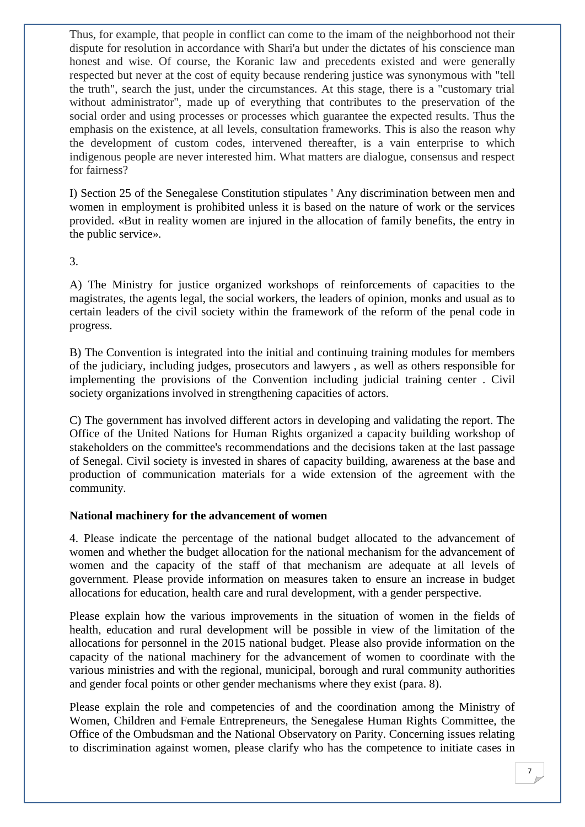Thus, for example, that people in conflict can come to the imam of the neighborhood not their dispute for resolution in accordance with Shari'a but under the dictates of his conscience man honest and wise. Of course, the Koranic law and precedents existed and were generally respected but never at the cost of equity because rendering justice was synonymous with "tell the truth", search the just, under the circumstances. At this stage, there is a "customary trial without administrator", made up of everything that contributes to the preservation of the social order and using processes or processes which guarantee the expected results. Thus the emphasis on the existence, at all levels, consultation frameworks. This is also the reason why the development of custom codes, intervened thereafter, is a vain enterprise to which indigenous people are never interested him. What matters are dialogue, consensus and respect for fairness?

I) Section 25 of the Senegalese Constitution stipulates ' Any discrimination between men and women in employment is prohibited unless it is based on the nature of work or the services provided. «But in reality women are injured in the allocation of family benefits, the entry in the public service».

3.

A) The Ministry for justice organized workshops of reinforcements of capacities to the magistrates, the agents legal, the social workers, the leaders of opinion, monks and usual as to certain leaders of the civil society within the framework of the reform of the penal code in progress.

B) The Convention is integrated into the initial and continuing training modules for members of the judiciary, including judges, prosecutors and lawyers , as well as others responsible for implementing the provisions of the Convention including judicial training center . Civil society organizations involved in strengthening capacities of actors.

C) The government has involved different actors in developing and validating the report. The Office of the United Nations for Human Rights organized a capacity building workshop of stakeholders on the committee's recommendations and the decisions taken at the last passage of Senegal. Civil society is invested in shares of capacity building, awareness at the base and production of communication materials for a wide extension of the agreement with the community.

#### **National machinery for the advancement of women**

4. Please indicate the percentage of the national budget allocated to the advancement of women and whether the budget allocation for the national mechanism for the advancement of women and the capacity of the staff of that mechanism are adequate at all levels of government. Please provide information on measures taken to ensure an increase in budget allocations for education, health care and rural development, with a gender perspective.

Please explain how the various improvements in the situation of women in the fields of health, education and rural development will be possible in view of the limitation of the allocations for personnel in the 2015 national budget. Please also provide information on the capacity of the national machinery for the advancement of women to coordinate with the various ministries and with the regional, municipal, borough and rural community authorities and gender focal points or other gender mechanisms where they exist (para. 8).

Please explain the role and competencies of and the coordination among the Ministry of Women, Children and Female Entrepreneurs, the Senegalese Human Rights Committee, the Office of the Ombudsman and the National Observatory on Parity. Concerning issues relating to discrimination against women, please clarify who has the competence to initiate cases in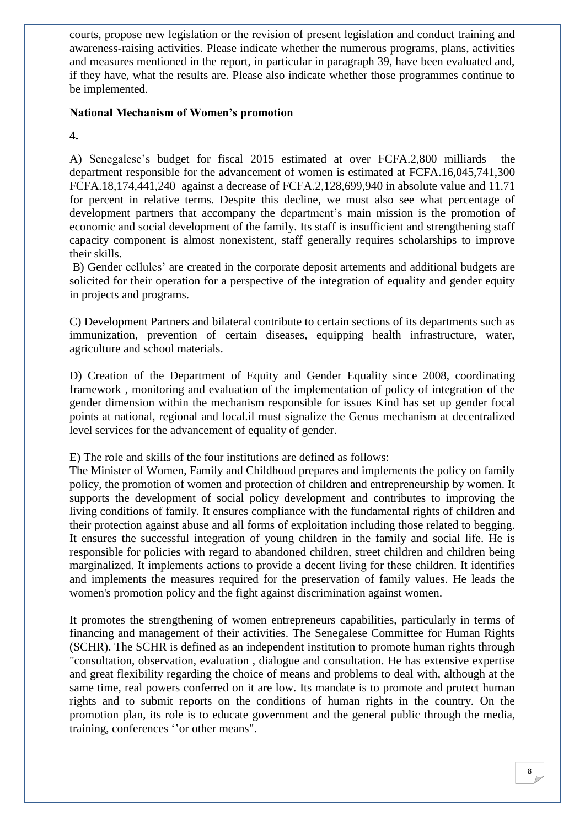courts, propose new legislation or the revision of present legislation and conduct training and awareness-raising activities. Please indicate whether the numerous programs, plans, activities and measures mentioned in the report, in particular in paragraph 39, have been evaluated and, if they have, what the results are. Please also indicate whether those programmes continue to be implemented.

#### **National Mechanism of Women's promotion**

**4.** 

A) Senegalese's budget for fiscal 2015 estimated at over FCFA.2,800 milliards the department responsible for the advancement of women is estimated at FCFA.16,045,741,300 FCFA.18,174,441,240 against a decrease of FCFA.2,128,699,940 in absolute value and 11.71 for percent in relative terms. Despite this decline, we must also see what percentage of development partners that accompany the department's main mission is the promotion of economic and social development of the family. Its staff is insufficient and strengthening staff capacity component is almost nonexistent, staff generally requires scholarships to improve their skills.

B) Gender cellules' are created in the corporate deposit artements and additional budgets are solicited for their operation for a perspective of the integration of equality and gender equity in projects and programs.

C) Development Partners and bilateral contribute to certain sections of its departments such as immunization, prevention of certain diseases, equipping health infrastructure, water, agriculture and school materials.

D) Creation of the Department of Equity and Gender Equality since 2008, coordinating framework , monitoring and evaluation of the implementation of policy of integration of the gender dimension within the mechanism responsible for issues Kind has set up gender focal points at national, regional and local.il must signalize the Genus mechanism at decentralized level services for the advancement of equality of gender.

E) The role and skills of the four institutions are defined as follows:

The Minister of Women, Family and Childhood prepares and implements the policy on family policy, the promotion of women and protection of children and entrepreneurship by women. It supports the development of social policy development and contributes to improving the living conditions of family. It ensures compliance with the fundamental rights of children and their protection against abuse and all forms of exploitation including those related to begging. It ensures the successful integration of young children in the family and social life. He is responsible for policies with regard to abandoned children, street children and children being marginalized. It implements actions to provide a decent living for these children. It identifies and implements the measures required for the preservation of family values. He leads the women's promotion policy and the fight against discrimination against women.

It promotes the strengthening of women entrepreneurs capabilities, particularly in terms of financing and management of their activities. The Senegalese Committee for Human Rights (SCHR). The SCHR is defined as an independent institution to promote human rights through "consultation, observation, evaluation , dialogue and consultation. He has extensive expertise and great flexibility regarding the choice of means and problems to deal with, although at the same time, real powers conferred on it are low. Its mandate is to promote and protect human rights and to submit reports on the conditions of human rights in the country. On the promotion plan, its role is to educate government and the general public through the media, training, conferences ''or other means".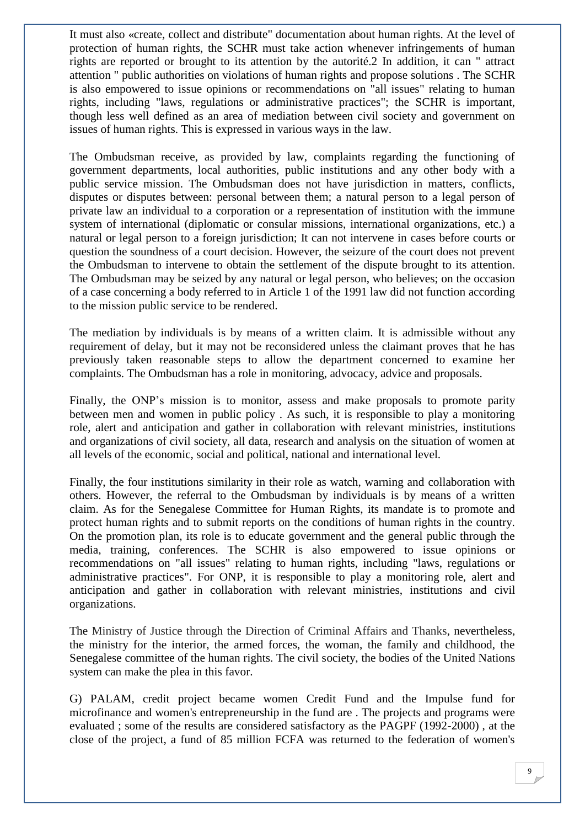It must also «create, collect and distribute" documentation about human rights. At the level of protection of human rights, the SCHR must take action whenever infringements of human rights are reported or brought to its attention by the autorité.2 In addition, it can " attract attention " public authorities on violations of human rights and propose solutions . The SCHR is also empowered to issue opinions or recommendations on "all issues" relating to human rights, including "laws, regulations or administrative practices"; the SCHR is important, though less well defined as an area of mediation between civil society and government on issues of human rights. This is expressed in various ways in the law.

The Ombudsman receive, as provided by law, complaints regarding the functioning of government departments, local authorities, public institutions and any other body with a public service mission. The Ombudsman does not have jurisdiction in matters, conflicts, disputes or disputes between: personal between them; a natural person to a legal person of private law an individual to a corporation or a representation of institution with the immune system of international (diplomatic or consular missions, international organizations, etc.) a natural or legal person to a foreign jurisdiction; It can not intervene in cases before courts or question the soundness of a court decision. However, the seizure of the court does not prevent the Ombudsman to intervene to obtain the settlement of the dispute brought to its attention. The Ombudsman may be seized by any natural or legal person, who believes; on the occasion of a case concerning a body referred to in Article 1 of the 1991 law did not function according to the mission public service to be rendered.

The mediation by individuals is by means of a written claim. It is admissible without any requirement of delay, but it may not be reconsidered unless the claimant proves that he has previously taken reasonable steps to allow the department concerned to examine her complaints. The Ombudsman has a role in monitoring, advocacy, advice and proposals.

Finally, the ONP's mission is to monitor, assess and make proposals to promote parity between men and women in public policy . As such, it is responsible to play a monitoring role, alert and anticipation and gather in collaboration with relevant ministries, institutions and organizations of civil society, all data, research and analysis on the situation of women at all levels of the economic, social and political, national and international level.

Finally, the four institutions similarity in their role as watch, warning and collaboration with others. However, the referral to the Ombudsman by individuals is by means of a written claim. As for the Senegalese Committee for Human Rights, its mandate is to promote and protect human rights and to submit reports on the conditions of human rights in the country. On the promotion plan, its role is to educate government and the general public through the media, training, conferences. The SCHR is also empowered to issue opinions or recommendations on "all issues" relating to human rights, including "laws, regulations or administrative practices". For ONP, it is responsible to play a monitoring role, alert and anticipation and gather in collaboration with relevant ministries, institutions and civil organizations.

The Ministry of Justice through the Direction of Criminal Affairs and Thanks, nevertheless, the ministry for the interior, the armed forces, the woman, the family and childhood, the Senegalese committee of the human rights. The civil society, the bodies of the United Nations system can make the plea in this favor.

G) PALAM, credit project became women Credit Fund and the Impulse fund for microfinance and women's entrepreneurship in the fund are . The projects and programs were evaluated ; some of the results are considered satisfactory as the PAGPF (1992-2000) , at the close of the project, a fund of 85 million FCFA was returned to the federation of women's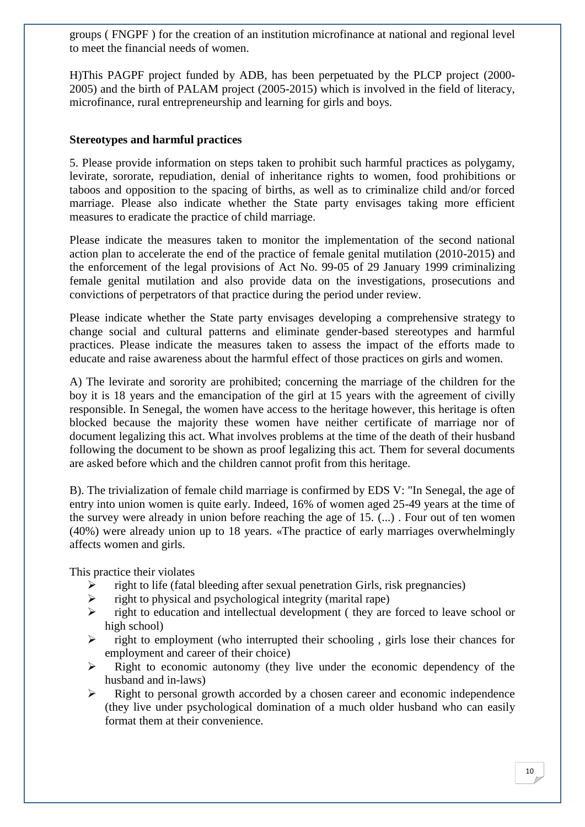groups ( FNGPF ) for the creation of an institution microfinance at national and regional level to meet the financial needs of women.

H)This PAGPF project funded by ADB, has been perpetuated by the PLCP project (2000- 2005) and the birth of PALAM project (2005-2015) which is involved in the field of literacy, microfinance, rural entrepreneurship and learning for girls and boys.

#### **Stereotypes and harmful practices**

5. Please provide information on steps taken to prohibit such harmful practices as polygamy, levirate, sororate, repudiation, denial of inheritance rights to women, food prohibitions or taboos and opposition to the spacing of births, as well as to criminalize child and/or forced marriage. Please also indicate whether the State party envisages taking more efficient measures to eradicate the practice of child marriage.

Please indicate the measures taken to monitor the implementation of the second national action plan to accelerate the end of the practice of female genital mutilation (2010-2015) and the enforcement of the legal provisions of Act No. 99-05 of 29 January 1999 criminalizing female genital mutilation and also provide data on the investigations, prosecutions and convictions of perpetrators of that practice during the period under review.

Please indicate whether the State party envisages developing a comprehensive strategy to change social and cultural patterns and eliminate gender-based stereotypes and harmful practices. Please indicate the measures taken to assess the impact of the efforts made to educate and raise awareness about the harmful effect of those practices on girls and women.

A) The levirate and sorority are prohibited; concerning the marriage of the children for the boy it is 18 years and the emancipation of the girl at 15 years with the agreement of civilly responsible. In Senegal, the women have access to the heritage however, this heritage is often blocked because the majority these women have neither certificate of marriage nor of document legalizing this act. What involves problems at the time of the death of their husband following the document to be shown as proof legalizing this act. Them for several documents are asked before which and the children cannot profit from this heritage.

B). The trivialization of female child marriage is confirmed by EDS V: "In Senegal, the age of entry into union women is quite early. Indeed, 16% of women aged 25-49 years at the time of the survey were already in union before reaching the age of 15. (...) . Four out of ten women (40%) were already union up to 18 years. «The practice of early marriages overwhelmingly affects women and girls.

This practice their violates

- $\triangleright$  right to life (fatal bleeding after sexual penetration Girls, risk pregnancies)
- $\triangleright$  right to physical and psychological integrity (marital rape)
- $\triangleright$  right to education and intellectual development (they are forced to leave school or high school)
- $\triangleright$  right to employment (who interrupted their schooling, girls lose their chances for employment and career of their choice)
- $\triangleright$  Right to economic autonomy (they live under the economic dependency of the husband and in-laws)
- $\triangleright$  Right to personal growth accorded by a chosen career and economic independence (they live under psychological domination of a much older husband who can easily format them at their convenience.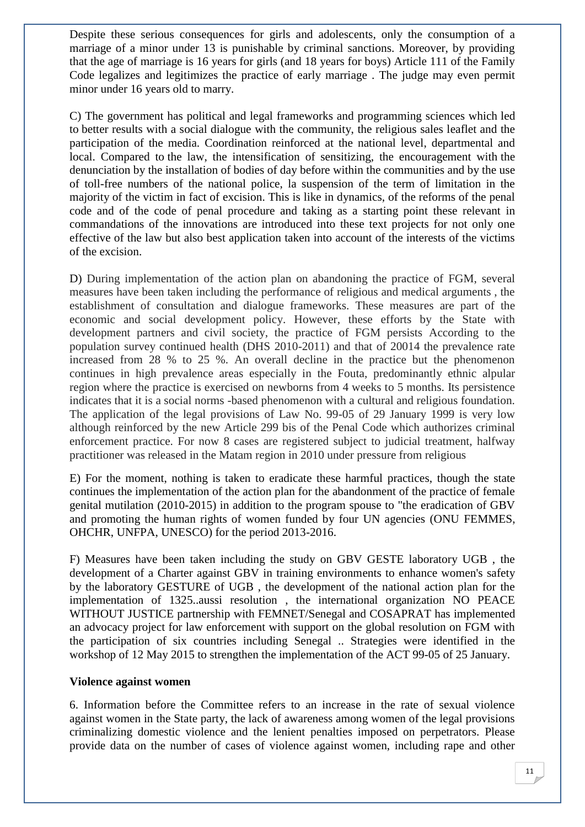Despite these serious consequences for girls and adolescents, only the consumption of a marriage of a minor under 13 is punishable by criminal sanctions. Moreover, by providing that the age of marriage is 16 years for girls (and 18 years for boys) Article 111 of the Family Code legalizes and legitimizes the practice of early marriage . The judge may even permit minor under 16 years old to marry.

C) The government has political and legal frameworks and programming sciences which led to better results with a social dialogue with the community, the religious sales leaflet and the participation of the media. Coordination reinforced at the national level, departmental and local. Compared to the law, the intensification of sensitizing, the encouragement with the denunciation by the installation of bodies of day before within the communities and by the use of toll-free numbers of the national police, la suspension of the term of limitation in the majority of the victim in fact of excision. This is like in dynamics, of the reforms of the penal code and of the code of penal procedure and taking as a starting point these relevant in commandations of the innovations are introduced into these text projects for not only one effective of the law but also best application taken into account of the interests of the victims of the excision.

D) During implementation of the action plan on abandoning the practice of FGM, several measures have been taken including the performance of religious and medical arguments , the establishment of consultation and dialogue frameworks. These measures are part of the economic and social development policy. However, these efforts by the State with development partners and civil society, the practice of FGM persists According to the population survey continued health (DHS 2010-2011) and that of 20014 the prevalence rate increased from 28 % to 25 %. An overall decline in the practice but the phenomenon continues in high prevalence areas especially in the Fouta, predominantly ethnic alpular region where the practice is exercised on newborns from 4 weeks to 5 months. Its persistence indicates that it is a social norms -based phenomenon with a cultural and religious foundation. The application of the legal provisions of Law No. 99-05 of 29 January 1999 is very low although reinforced by the new Article 299 bis of the Penal Code which authorizes criminal enforcement practice. For now 8 cases are registered subject to judicial treatment, halfway practitioner was released in the Matam region in 2010 under pressure from religious

E) For the moment, nothing is taken to eradicate these harmful practices, though the state continues the implementation of the action plan for the abandonment of the practice of female genital mutilation (2010-2015) in addition to the program spouse to "the eradication of GBV and promoting the human rights of women funded by four UN agencies (ONU FEMMES, OHCHR, UNFPA, UNESCO) for the period 2013-2016.

F) Measures have been taken including the study on GBV GESTE laboratory UGB , the development of a Charter against GBV in training environments to enhance women's safety by the laboratory GESTURE of UGB , the development of the national action plan for the implementation of 1325..aussi resolution , the international organization NO PEACE WITHOUT JUSTICE partnership with FEMNET/Senegal and COSAPRAT has implemented an advocacy project for law enforcement with support on the global resolution on FGM with the participation of six countries including Senegal .. Strategies were identified in the workshop of 12 May 2015 to strengthen the implementation of the ACT 99-05 of 25 January.

#### **Violence against women**

6. Information before the Committee refers to an increase in the rate of sexual violence against women in the State party, the lack of awareness among women of the legal provisions criminalizing domestic violence and the lenient penalties imposed on perpetrators. Please provide data on the number of cases of violence against women, including rape and other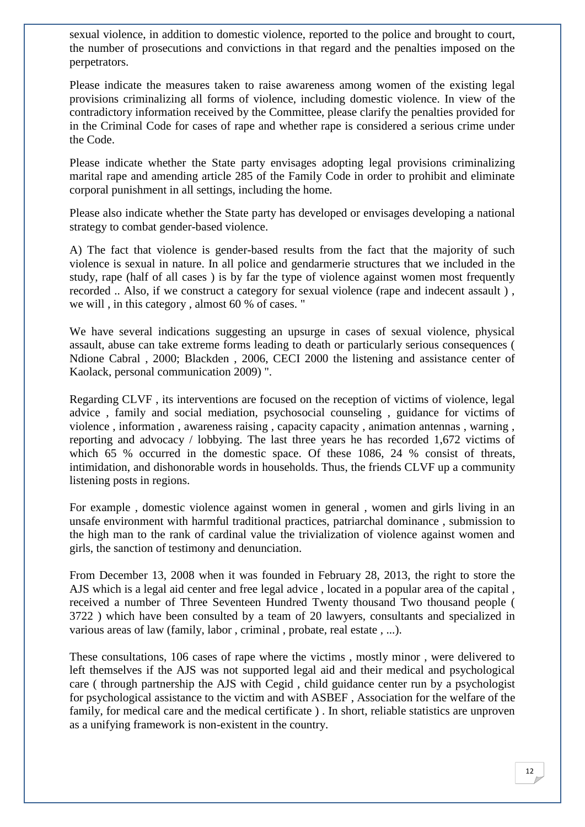sexual violence, in addition to domestic violence, reported to the police and brought to court, the number of prosecutions and convictions in that regard and the penalties imposed on the perpetrators.

Please indicate the measures taken to raise awareness among women of the existing legal provisions criminalizing all forms of violence, including domestic violence. In view of the contradictory information received by the Committee, please clarify the penalties provided for in the Criminal Code for cases of rape and whether rape is considered a serious crime under the Code.

Please indicate whether the State party envisages adopting legal provisions criminalizing marital rape and amending article 285 of the Family Code in order to prohibit and eliminate corporal punishment in all settings, including the home.

Please also indicate whether the State party has developed or envisages developing a national strategy to combat gender-based violence.

A) The fact that violence is gender-based results from the fact that the majority of such violence is sexual in nature. In all police and gendarmerie structures that we included in the study, rape (half of all cases ) is by far the type of violence against women most frequently recorded .. Also, if we construct a category for sexual violence (rape and indecent assault ) , we will , in this category , almost 60 % of cases. "

We have several indications suggesting an upsurge in cases of sexual violence, physical assault, abuse can take extreme forms leading to death or particularly serious consequences ( Ndione Cabral , 2000; Blackden , 2006, CECI 2000 the listening and assistance center of Kaolack, personal communication 2009) ".

Regarding CLVF , its interventions are focused on the reception of victims of violence, legal advice , family and social mediation, psychosocial counseling , guidance for victims of violence , information , awareness raising , capacity capacity , animation antennas , warning , reporting and advocacy / lobbying. The last three years he has recorded 1,672 victims of which 65 % occurred in the domestic space. Of these 1086, 24 % consist of threats, intimidation, and dishonorable words in households. Thus, the friends CLVF up a community listening posts in regions.

For example , domestic violence against women in general , women and girls living in an unsafe environment with harmful traditional practices, patriarchal dominance , submission to the high man to the rank of cardinal value the trivialization of violence against women and girls, the sanction of testimony and denunciation.

From December 13, 2008 when it was founded in February 28, 2013, the right to store the AJS which is a legal aid center and free legal advice , located in a popular area of the capital , received a number of Three Seventeen Hundred Twenty thousand Two thousand people ( 3722 ) which have been consulted by a team of 20 lawyers, consultants and specialized in various areas of law (family, labor , criminal , probate, real estate , ...).

These consultations, 106 cases of rape where the victims , mostly minor , were delivered to left themselves if the AJS was not supported legal aid and their medical and psychological care ( through partnership the AJS with Cegid , child guidance center run by a psychologist for psychological assistance to the victim and with ASBEF , Association for the welfare of the family, for medical care and the medical certificate ) . In short, reliable statistics are unproven as a unifying framework is non-existent in the country.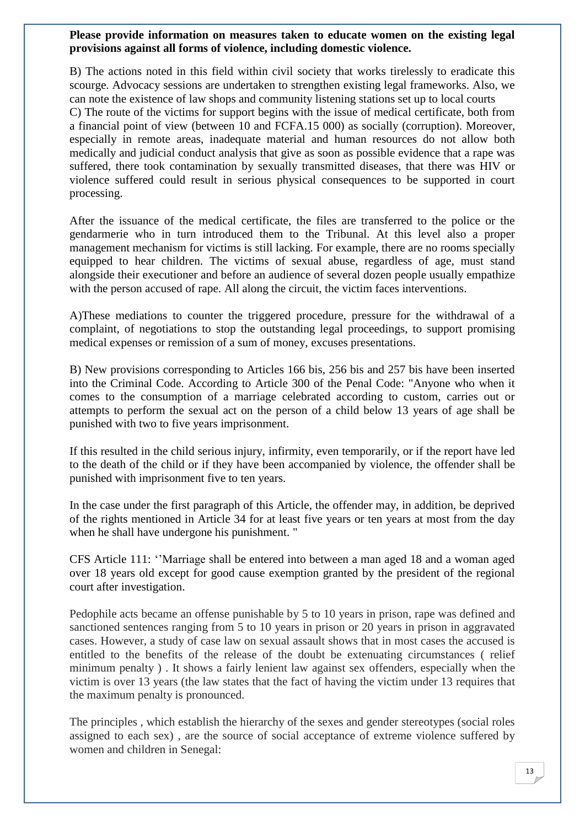#### **Please provide information on measures taken to educate women on the existing legal provisions against all forms of violence, including domestic violence.**

B) The actions noted in this field within civil society that works tirelessly to eradicate this scourge. Advocacy sessions are undertaken to strengthen existing legal frameworks. Also, we can note the existence of law shops and community listening stations set up to local courts

C) The route of the victims for support begins with the issue of medical certificate, both from a financial point of view (between 10 and FCFA.15 000) as socially (corruption). Moreover, especially in remote areas, inadequate material and human resources do not allow both medically and judicial conduct analysis that give as soon as possible evidence that a rape was suffered, there took contamination by sexually transmitted diseases, that there was HIV or violence suffered could result in serious physical consequences to be supported in court processing.

After the issuance of the medical certificate, the files are transferred to the police or the gendarmerie who in turn introduced them to the Tribunal. At this level also a proper management mechanism for victims is still lacking. For example, there are no rooms specially equipped to hear children. The victims of sexual abuse, regardless of age, must stand alongside their executioner and before an audience of several dozen people usually empathize with the person accused of rape. All along the circuit, the victim faces interventions.

A)These mediations to counter the triggered procedure, pressure for the withdrawal of a complaint, of negotiations to stop the outstanding legal proceedings, to support promising medical expenses or remission of a sum of money, excuses presentations.

B) New provisions corresponding to Articles 166 bis, 256 bis and 257 bis have been inserted into the Criminal Code. According to Article 300 of the Penal Code: "Anyone who when it comes to the consumption of a marriage celebrated according to custom, carries out or attempts to perform the sexual act on the person of a child below 13 years of age shall be punished with two to five years imprisonment.

If this resulted in the child serious injury, infirmity, even temporarily, or if the report have led to the death of the child or if they have been accompanied by violence, the offender shall be punished with imprisonment five to ten years.

In the case under the first paragraph of this Article, the offender may, in addition, be deprived of the rights mentioned in Article 34 for at least five years or ten years at most from the day when he shall have undergone his punishment. "

CFS Article 111: ''Marriage shall be entered into between a man aged 18 and a woman aged over 18 years old except for good cause exemption granted by the president of the regional court after investigation.

Pedophile acts became an offense punishable by 5 to 10 years in prison, rape was defined and sanctioned sentences ranging from 5 to 10 years in prison or 20 years in prison in aggravated cases. However, a study of case law on sexual assault shows that in most cases the accused is entitled to the benefits of the release of the doubt be extenuating circumstances ( relief minimum penalty ) . It shows a fairly lenient law against sex offenders, especially when the victim is over 13 years (the law states that the fact of having the victim under 13 requires that the maximum penalty is pronounced.

The principles , which establish the hierarchy of the sexes and gender stereotypes (social roles assigned to each sex) , are the source of social acceptance of extreme violence suffered by women and children in Senegal: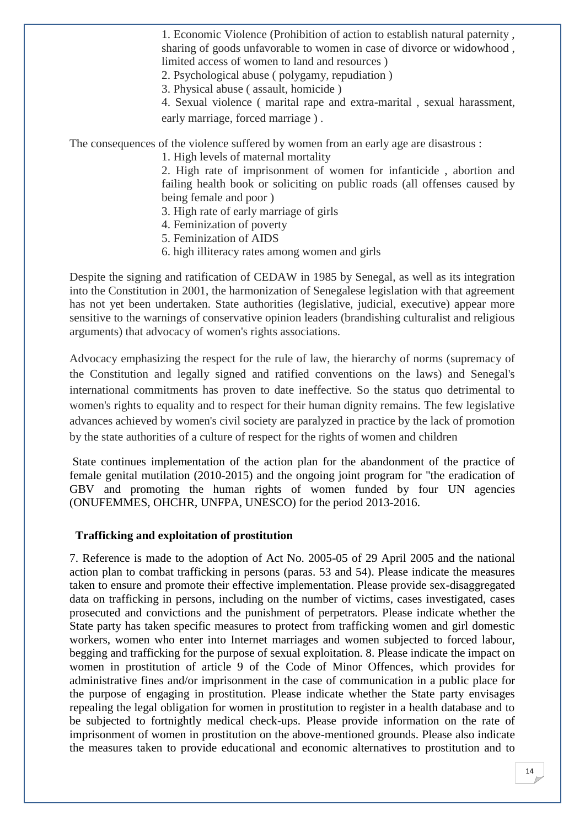1. Economic Violence (Prohibition of action to establish natural paternity , sharing of goods unfavorable to women in case of divorce or widowhood , limited access of women to land and resources )

2. Psychological abuse ( polygamy, repudiation )

3. Physical abuse ( assault, homicide )

4. Sexual violence ( marital rape and extra-marital , sexual harassment, early marriage, forced marriage ) .

The consequences of the violence suffered by women from an early age are disastrous :

1. High levels of maternal mortality

2. High rate of imprisonment of women for infanticide , abortion and failing health book or soliciting on public roads (all offenses caused by being female and poor )

- 3. High rate of early marriage of girls
- 4. Feminization of poverty
- 5. Feminization of AIDS
- 6. high illiteracy rates among women and girls

Despite the signing and ratification of CEDAW in 1985 by Senegal, as well as its integration into the Constitution in 2001, the harmonization of Senegalese legislation with that agreement has not yet been undertaken. State authorities (legislative, judicial, executive) appear more sensitive to the warnings of conservative opinion leaders (brandishing culturalist and religious arguments) that advocacy of women's rights associations.

Advocacy emphasizing the respect for the rule of law, the hierarchy of norms (supremacy of the Constitution and legally signed and ratified conventions on the laws) and Senegal's international commitments has proven to date ineffective. So the status quo detrimental to women's rights to equality and to respect for their human dignity remains. The few legislative advances achieved by women's civil society are paralyzed in practice by the lack of promotion by the state authorities of a culture of respect for the rights of women and children

State continues implementation of the action plan for the abandonment of the practice of female genital mutilation (2010-2015) and the ongoing joint program for "the eradication of GBV and promoting the human rights of women funded by four UN agencies (ONUFEMMES, OHCHR, UNFPA, UNESCO) for the period 2013-2016.

#### **Trafficking and exploitation of prostitution**

7. Reference is made to the adoption of Act No. 2005-05 of 29 April 2005 and the national action plan to combat trafficking in persons (paras. 53 and 54). Please indicate the measures taken to ensure and promote their effective implementation. Please provide sex-disaggregated data on trafficking in persons, including on the number of victims, cases investigated, cases prosecuted and convictions and the punishment of perpetrators. Please indicate whether the State party has taken specific measures to protect from trafficking women and girl domestic workers, women who enter into Internet marriages and women subjected to forced labour, begging and trafficking for the purpose of sexual exploitation. 8. Please indicate the impact on women in prostitution of article 9 of the Code of Minor Offences, which provides for administrative fines and/or imprisonment in the case of communication in a public place for the purpose of engaging in prostitution. Please indicate whether the State party envisages repealing the legal obligation for women in prostitution to register in a health database and to be subjected to fortnightly medical check-ups. Please provide information on the rate of imprisonment of women in prostitution on the above-mentioned grounds. Please also indicate the measures taken to provide educational and economic alternatives to prostitution and to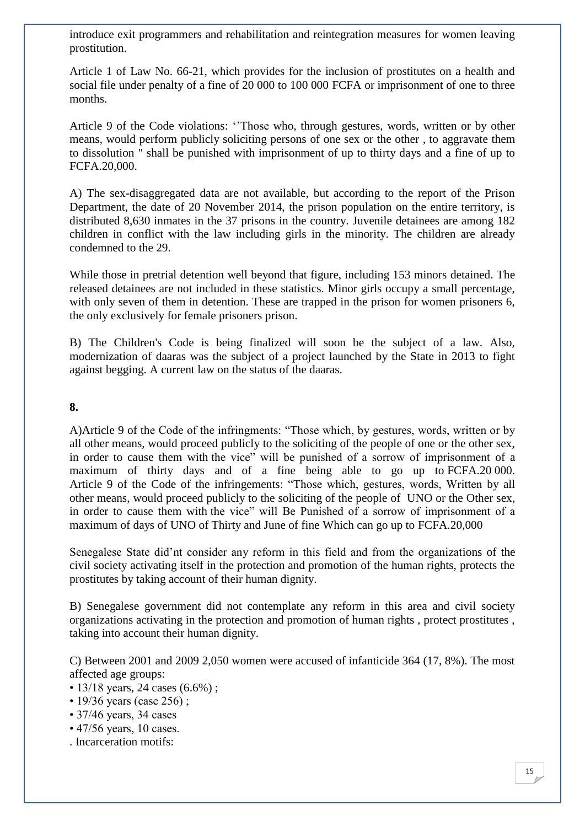introduce exit programmers and rehabilitation and reintegration measures for women leaving prostitution.

Article 1 of Law No. 66-21, which provides for the inclusion of prostitutes on a health and social file under penalty of a fine of 20 000 to 100 000 FCFA or imprisonment of one to three months.

Article 9 of the Code violations: ''Those who, through gestures, words, written or by other means, would perform publicly soliciting persons of one sex or the other , to aggravate them to dissolution " shall be punished with imprisonment of up to thirty days and a fine of up to FCFA.20,000.

A) The sex-disaggregated data are not available, but according to the report of the Prison Department, the date of 20 November 2014, the prison population on the entire territory, is distributed 8,630 inmates in the 37 prisons in the country. Juvenile detainees are among 182 children in conflict with the law including girls in the minority. The children are already condemned to the 29.

While those in pretrial detention well beyond that figure, including 153 minors detained. The released detainees are not included in these statistics. Minor girls occupy a small percentage, with only seven of them in detention. These are trapped in the prison for women prisoners 6, the only exclusively for female prisoners prison.

B) The Children's Code is being finalized will soon be the subject of a law. Also, modernization of daaras was the subject of a project launched by the State in 2013 to fight against begging. A current law on the status of the daaras.

#### **8.**

A)Article 9 of the Code of the infringments: "Those which, by gestures, words, written or by all other means, would proceed publicly to the soliciting of the people of one or the other sex, in order to cause them with the vice" will be punished of a sorrow of imprisonment of a maximum of thirty days and of a fine being able to go up to FCFA.20 000. Article 9 of the Code of the infringements: "Those which, gestures, words, Written by all other means, would proceed publicly to the soliciting of the people of UNO or the Other sex, in order to cause them with the vice" will Be Punished of a sorrow of imprisonment of a maximum of days of UNO of Thirty and June of fine Which can go up to FCFA.20,000

Senegalese State did'nt consider any reform in this field and from the organizations of the civil society activating itself in the protection and promotion of the human rights, protects the prostitutes by taking account of their human dignity.

B) Senegalese government did not contemplate any reform in this area and civil society organizations activating in the protection and promotion of human rights , protect prostitutes , taking into account their human dignity.

C) Between 2001 and 2009 2,050 women were accused of infanticide 364 (17, 8%). The most affected age groups:

- 13/18 years, 24 cases (6.6%);
- 19/36 years (case 256);
- 37/46 years, 34 cases
- 47/56 years, 10 cases.
- . Incarceration motifs: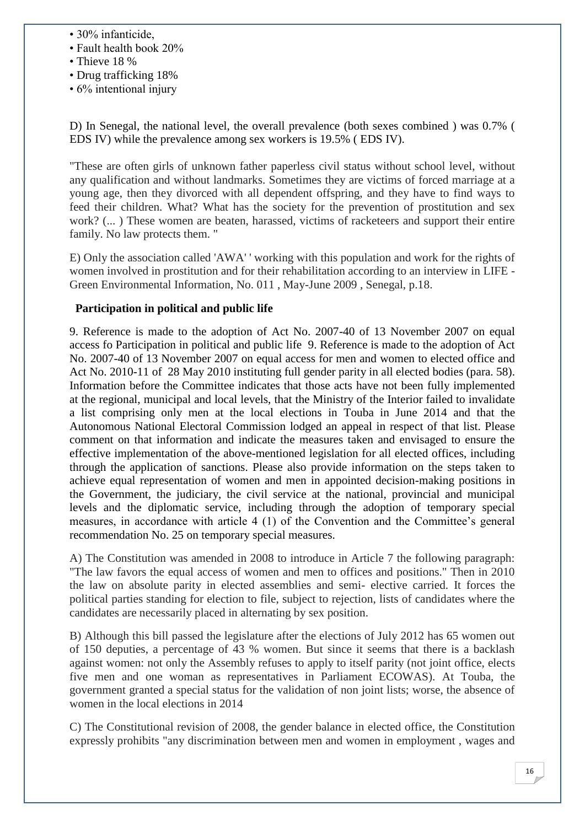- 30% infanticide,
- Fault health book 20%
- Thieve 18 %
- Drug trafficking 18%
- 6% intentional injury

D) In Senegal, the national level, the overall prevalence (both sexes combined ) was 0.7% ( EDS IV) while the prevalence among sex workers is 19.5% ( EDS IV).

"These are often girls of unknown father paperless civil status without school level, without any qualification and without landmarks. Sometimes they are victims of forced marriage at a young age, then they divorced with all dependent offspring, and they have to find ways to feed their children. What? What has the society for the prevention of prostitution and sex work? (... ) These women are beaten, harassed, victims of racketeers and support their entire family. No law protects them. "

E) Only the association called 'AWA' ' working with this population and work for the rights of women involved in prostitution and for their rehabilitation according to an interview in LIFE - Green Environmental Information, No. 011 , May-June 2009 , Senegal, p.18.

#### **Participation in political and public life**

9. Reference is made to the adoption of Act No. 2007-40 of 13 November 2007 on equal access fo Participation in political and public life 9. Reference is made to the adoption of Act No. 2007-40 of 13 November 2007 on equal access for men and women to elected office and Act No. 2010-11 of 28 May 2010 instituting full gender parity in all elected bodies (para. 58). Information before the Committee indicates that those acts have not been fully implemented at the regional, municipal and local levels, that the Ministry of the Interior failed to invalidate a list comprising only men at the local elections in Touba in June 2014 and that the Autonomous National Electoral Commission lodged an appeal in respect of that list. Please comment on that information and indicate the measures taken and envisaged to ensure the effective implementation of the above-mentioned legislation for all elected offices, including through the application of sanctions. Please also provide information on the steps taken to achieve equal representation of women and men in appointed decision-making positions in the Government, the judiciary, the civil service at the national, provincial and municipal levels and the diplomatic service, including through the adoption of temporary special measures, in accordance with article 4 (1) of the Convention and the Committee's general recommendation No. 25 on temporary special measures.

A) The Constitution was amended in 2008 to introduce in Article 7 the following paragraph: "The law favors the equal access of women and men to offices and positions." Then in 2010 the law on absolute parity in elected assemblies and semi- elective carried. It forces the political parties standing for election to file, subject to rejection, lists of candidates where the candidates are necessarily placed in alternating by sex position.

B) Although this bill passed the legislature after the elections of July 2012 has 65 women out of 150 deputies, a percentage of 43 % women. But since it seems that there is a backlash against women: not only the Assembly refuses to apply to itself parity (not joint office, elects five men and one woman as representatives in Parliament ECOWAS). At Touba, the government granted a special status for the validation of non joint lists; worse, the absence of women in the local elections in 2014

C) The Constitutional revision of 2008, the gender balance in elected office, the Constitution expressly prohibits "any discrimination between men and women in employment , wages and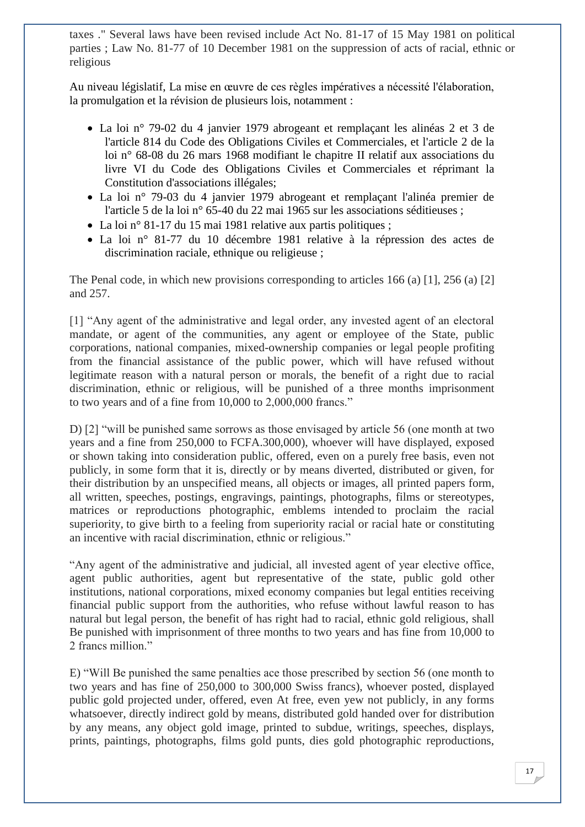taxes ." Several laws have been revised include Act No. 81-17 of 15 May 1981 on political parties ; Law No. 81-77 of 10 December 1981 on the suppression of acts of racial, ethnic or religious

Au niveau législatif, La mise en œuvre de ces règles impératives a nécessité l'élaboration, la promulgation et la révision de plusieurs lois, notamment :

- La loi n° 79-02 du 4 janvier 1979 abrogeant et remplaçant les alinéas 2 et 3 de l'article 814 du Code des Obligations Civiles et Commerciales, et l'article 2 de la loi n° 68-08 du 26 mars 1968 modifiant le chapitre II relatif aux associations du livre VI du Code des Obligations Civiles et Commerciales et réprimant la Constitution d'associations illégales;
- La loi n° 79-03 du 4 janvier 1979 abrogeant et remplaçant l'alinéa premier de l'article 5 de la loi n° 65-40 du 22 mai 1965 sur les associations séditieuses ;
- La loi n° 81-17 du 15 mai 1981 relative aux partis politiques;
- La loi n° 81-77 du 10 décembre 1981 relative à la répression des actes de discrimination raciale, ethnique ou religieuse ;

The Penal code, in which new provisions corresponding to articles 166 (a) [1], 256 (a) [2] and 257.

[1] "Any agent of the administrative and legal order, any invested agent of an electoral mandate, or agent of the communities, any agent or employee of the State, public corporations, national companies, mixed-ownership companies or legal people profiting from the financial assistance of the public power, which will have refused without legitimate reason with a natural person or morals, the benefit of a right due to racial discrimination, ethnic or religious, will be punished of a three months imprisonment to two years and of a fine from 10,000 to 2,000,000 francs."

D) [2] "will be punished same sorrows as those envisaged by article 56 (one month at two years and a fine from 250,000 to FCFA.300,000), whoever will have displayed, exposed or shown taking into consideration public, offered, even on a purely free basis, even not publicly, in some form that it is, directly or by means diverted, distributed or given, for their distribution by an unspecified means, all objects or images, all printed papers form, all written, speeches, postings, engravings, paintings, photographs, films or stereotypes, matrices or reproductions photographic, emblems intended to proclaim the racial superiority, to give birth to a feeling from superiority racial or racial hate or constituting an incentive with racial discrimination, ethnic or religious."

"Any agent of the administrative and judicial, all invested agent of year elective office, agent public authorities, agent but representative of the state, public gold other institutions, national corporations, mixed economy companies but legal entities receiving financial public support from the authorities, who refuse without lawful reason to has natural but legal person, the benefit of has right had to racial, ethnic gold religious, shall Be punished with imprisonment of three months to two years and has fine from 10,000 to 2 francs million."

E) "Will Be punished the same penalties ace those prescribed by section 56 (one month to two years and has fine of 250,000 to 300,000 Swiss francs), whoever posted, displayed public gold projected under, offered, even At free, even yew not publicly, in any forms whatsoever, directly indirect gold by means, distributed gold handed over for distribution by any means, any object gold image, printed to subdue, writings, speeches, displays, prints, paintings, photographs, films gold punts, dies gold photographic reproductions,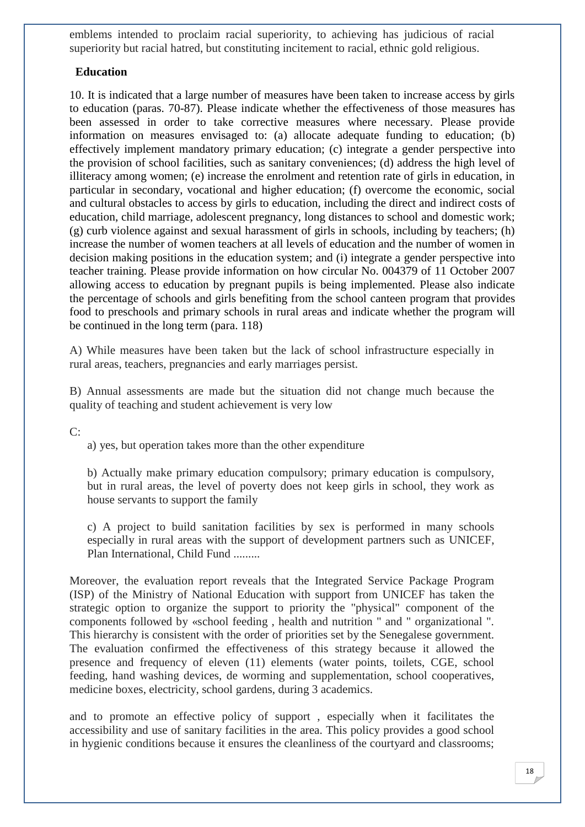emblems intended to proclaim racial superiority, to achieving has judicious of racial superiority but racial hatred, but constituting incitement to racial, ethnic gold religious.

#### **Education**

10. It is indicated that a large number of measures have been taken to increase access by girls to education (paras. 70-87). Please indicate whether the effectiveness of those measures has been assessed in order to take corrective measures where necessary. Please provide information on measures envisaged to: (a) allocate adequate funding to education; (b) effectively implement mandatory primary education; (c) integrate a gender perspective into the provision of school facilities, such as sanitary conveniences; (d) address the high level of illiteracy among women; (e) increase the enrolment and retention rate of girls in education, in particular in secondary, vocational and higher education; (f) overcome the economic, social and cultural obstacles to access by girls to education, including the direct and indirect costs of education, child marriage, adolescent pregnancy, long distances to school and domestic work; (g) curb violence against and sexual harassment of girls in schools, including by teachers; (h) increase the number of women teachers at all levels of education and the number of women in decision making positions in the education system; and (i) integrate a gender perspective into teacher training. Please provide information on how circular No. 004379 of 11 October 2007 allowing access to education by pregnant pupils is being implemented. Please also indicate the percentage of schools and girls benefiting from the school canteen program that provides food to preschools and primary schools in rural areas and indicate whether the program will be continued in the long term (para. 118)

A) While measures have been taken but the lack of school infrastructure especially in rural areas, teachers, pregnancies and early marriages persist.

B) Annual assessments are made but the situation did not change much because the quality of teaching and student achievement is very low

C:

a) yes, but operation takes more than the other expenditure

b) Actually make primary education compulsory; primary education is compulsory, but in rural areas, the level of poverty does not keep girls in school, they work as house servants to support the family

c) A project to build sanitation facilities by sex is performed in many schools especially in rural areas with the support of development partners such as UNICEF, Plan International, Child Fund .........

Moreover, the evaluation report reveals that the Integrated Service Package Program (ISP) of the Ministry of National Education with support from UNICEF has taken the strategic option to organize the support to priority the "physical" component of the components followed by «school feeding , health and nutrition " and " organizational ". This hierarchy is consistent with the order of priorities set by the Senegalese government. The evaluation confirmed the effectiveness of this strategy because it allowed the presence and frequency of eleven (11) elements (water points, toilets, CGE, school feeding, hand washing devices, de worming and supplementation, school cooperatives, medicine boxes, electricity, school gardens, during 3 academics.

and to promote an effective policy of support , especially when it facilitates the accessibility and use of sanitary facilities in the area. This policy provides a good school in hygienic conditions because it ensures the cleanliness of the courtyard and classrooms;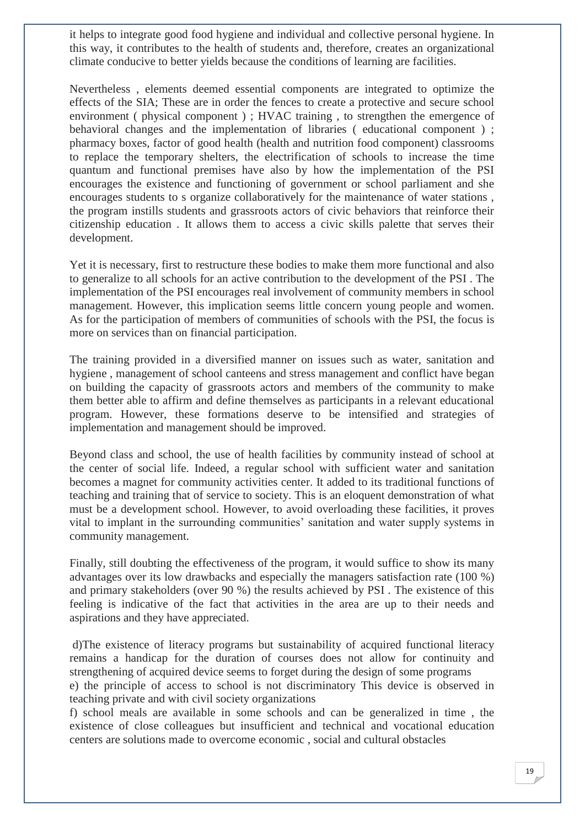it helps to integrate good food hygiene and individual and collective personal hygiene. In this way, it contributes to the health of students and, therefore, creates an organizational climate conducive to better yields because the conditions of learning are facilities.

Nevertheless , elements deemed essential components are integrated to optimize the effects of the SIA; These are in order the fences to create a protective and secure school environment ( physical component ) ; HVAC training , to strengthen the emergence of behavioral changes and the implementation of libraries ( educational component ) ; pharmacy boxes, factor of good health (health and nutrition food component) classrooms to replace the temporary shelters, the electrification of schools to increase the time quantum and functional premises have also by how the implementation of the PSI encourages the existence and functioning of government or school parliament and she encourages students to s organize collaboratively for the maintenance of water stations , the program instills students and grassroots actors of civic behaviors that reinforce their citizenship education . It allows them to access a civic skills palette that serves their development.

Yet it is necessary, first to restructure these bodies to make them more functional and also to generalize to all schools for an active contribution to the development of the PSI . The implementation of the PSI encourages real involvement of community members in school management. However, this implication seems little concern young people and women. As for the participation of members of communities of schools with the PSI, the focus is more on services than on financial participation.

The training provided in a diversified manner on issues such as water, sanitation and hygiene , management of school canteens and stress management and conflict have began on building the capacity of grassroots actors and members of the community to make them better able to affirm and define themselves as participants in a relevant educational program. However, these formations deserve to be intensified and strategies of implementation and management should be improved.

Beyond class and school, the use of health facilities by community instead of school at the center of social life. Indeed, a regular school with sufficient water and sanitation becomes a magnet for community activities center. It added to its traditional functions of teaching and training that of service to society. This is an eloquent demonstration of what must be a development school. However, to avoid overloading these facilities, it proves vital to implant in the surrounding communities' sanitation and water supply systems in community management.

Finally, still doubting the effectiveness of the program, it would suffice to show its many advantages over its low drawbacks and especially the managers satisfaction rate (100 %) and primary stakeholders (over 90 %) the results achieved by PSI . The existence of this feeling is indicative of the fact that activities in the area are up to their needs and aspirations and they have appreciated.

d)The existence of literacy programs but sustainability of acquired functional literacy remains a handicap for the duration of courses does not allow for continuity and strengthening of acquired device seems to forget during the design of some programs

e) the principle of access to school is not discriminatory This device is observed in teaching private and with civil society organizations

f) school meals are available in some schools and can be generalized in time , the existence of close colleagues but insufficient and technical and vocational education centers are solutions made to overcome economic , social and cultural obstacles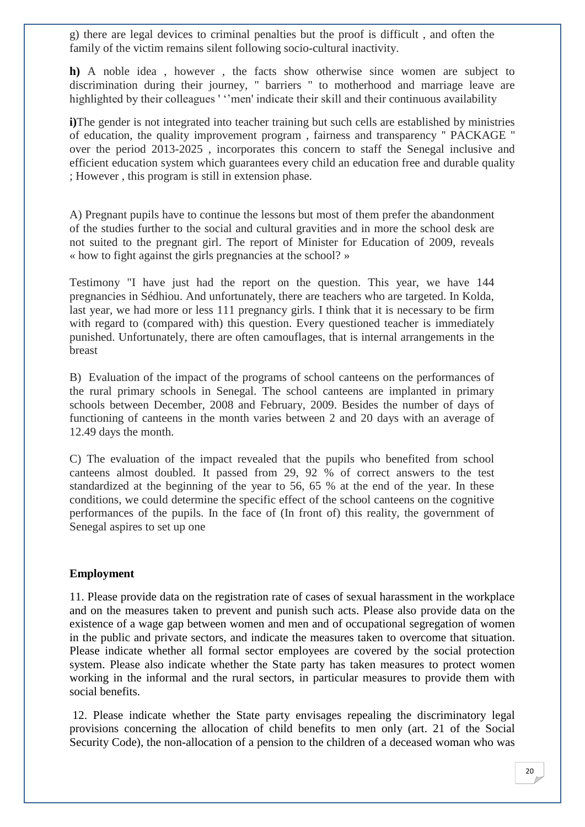g) there are legal devices to criminal penalties but the proof is difficult , and often the family of the victim remains silent following socio-cultural inactivity.

**h)** A noble idea , however , the facts show otherwise since women are subject to discrimination during their journey, " barriers " to motherhood and marriage leave are highlighted by their colleagues ' ''men' indicate their skill and their continuous availability

**i**)The gender is not integrated into teacher training but such cells are established by ministries of education, the quality improvement program , fairness and transparency '' PACKAGE '' over the period 2013-2025 , incorporates this concern to staff the Senegal inclusive and efficient education system which guarantees every child an education free and durable quality ; However , this program is still in extension phase.

A) Pregnant pupils have to continue the lessons but most of them prefer the abandonment of the studies further to the social and cultural gravities and in more the school desk are not suited to the pregnant girl. The report of Minister for Education of 2009, reveals « how to fight against the girls pregnancies at the school? »

Testimony "I have just had the report on the question. This year, we have 144 pregnancies in Sédhiou. And unfortunately, there are teachers who are targeted. In Kolda, last year, we had more or less 111 pregnancy girls. I think that it is necessary to be firm with regard to (compared with) this question. Every questioned teacher is immediately punished. Unfortunately, there are often camouflages, that is internal arrangements in the breast

B) Evaluation of the impact of the programs of school canteens on the performances of the rural primary schools in Senegal. The school canteens are implanted in primary schools between December, 2008 and February, 2009. Besides the number of days of functioning of canteens in the month varies between 2 and 20 days with an average of 12.49 days the month.

C) The evaluation of the impact revealed that the pupils who benefited from school canteens almost doubled. It passed from 29, 92 % of correct answers to the test standardized at the beginning of the year to 56, 65 % at the end of the year. In these conditions, we could determine the specific effect of the school canteens on the cognitive performances of the pupils. In the face of (In front of) this reality, the government of Senegal aspires to set up one

#### **Employment**

11. Please provide data on the registration rate of cases of sexual harassment in the workplace and on the measures taken to prevent and punish such acts. Please also provide data on the existence of a wage gap between women and men and of occupational segregation of women in the public and private sectors, and indicate the measures taken to overcome that situation. Please indicate whether all formal sector employees are covered by the social protection system. Please also indicate whether the State party has taken measures to protect women working in the informal and the rural sectors, in particular measures to provide them with social benefits.

12. Please indicate whether the State party envisages repealing the discriminatory legal provisions concerning the allocation of child benefits to men only (art. 21 of the Social Security Code), the non-allocation of a pension to the children of a deceased woman who was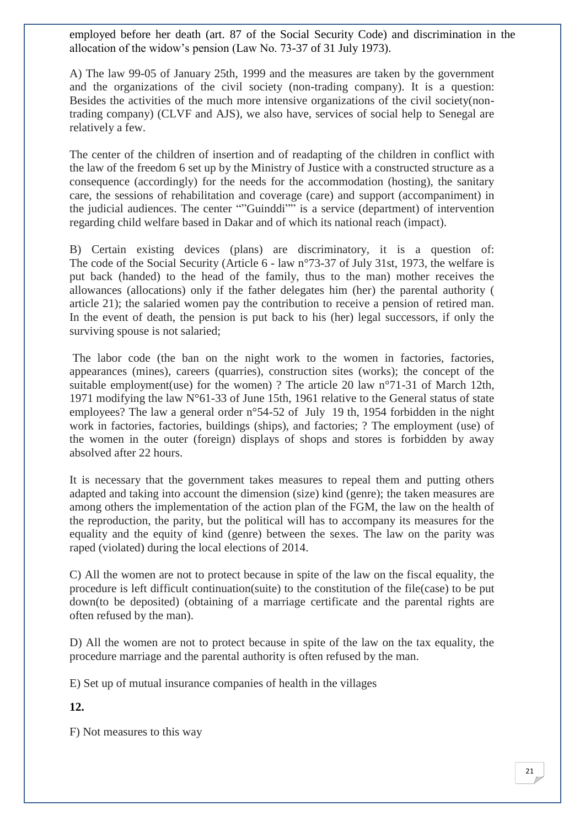employed before her death (art. 87 of the Social Security Code) and discrimination in the allocation of the widow's pension (Law No. 73-37 of 31 July 1973).

A) The law 99-05 of January 25th, 1999 and the measures are taken by the government and the organizations of the civil society (non-trading company). It is a question: Besides the activities of the much more intensive organizations of the civil society(nontrading company) (CLVF and AJS), we also have, services of social help to Senegal are relatively a few.

The center of the children of insertion and of readapting of the children in conflict with the law of the freedom 6 set up by the Ministry of Justice with a constructed structure as a consequence (accordingly) for the needs for the accommodation (hosting), the sanitary care, the sessions of rehabilitation and coverage (care) and support (accompaniment) in the judicial audiences. The center ""Guinddi"" is a service (department) of intervention regarding child welfare based in Dakar and of which its national reach (impact).

B) Certain existing devices (plans) are discriminatory, it is a question of: The code of the Social Security (Article 6 - law n°73-37 of July 31st, 1973, the welfare is put back (handed) to the head of the family, thus to the man) mother receives the allowances (allocations) only if the father delegates him (her) the parental authority ( article 21); the salaried women pay the contribution to receive a pension of retired man. In the event of death, the pension is put back to his (her) legal successors, if only the surviving spouse is not salaried;

The labor code (the ban on the night work to the women in factories, factories, appearances (mines), careers (quarries), construction sites (works); the concept of the suitable employment(use) for the women) ? The article 20 law n°71-31 of March 12th, 1971 modifying the law N°61-33 of June 15th, 1961 relative to the General status of state employees? The law a general order n°54-52 of July 19 th, 1954 forbidden in the night work in factories, factories, buildings (ships), and factories; ? The employment (use) of the women in the outer (foreign) displays of shops and stores is forbidden by away absolved after 22 hours.

It is necessary that the government takes measures to repeal them and putting others adapted and taking into account the dimension (size) kind (genre); the taken measures are among others the implementation of the action plan of the FGM, the law on the health of the reproduction, the parity, but the political will has to accompany its measures for the equality and the equity of kind (genre) between the sexes. The law on the parity was raped (violated) during the local elections of 2014.

C) All the women are not to protect because in spite of the law on the fiscal equality, the procedure is left difficult continuation(suite) to the constitution of the file(case) to be put down(to be deposited) (obtaining of a marriage certificate and the parental rights are often refused by the man).

D) All the women are not to protect because in spite of the law on the tax equality, the procedure marriage and the parental authority is often refused by the man.

E) Set up of mutual insurance companies of health in the villages

**12.** 

F) Not measures to this way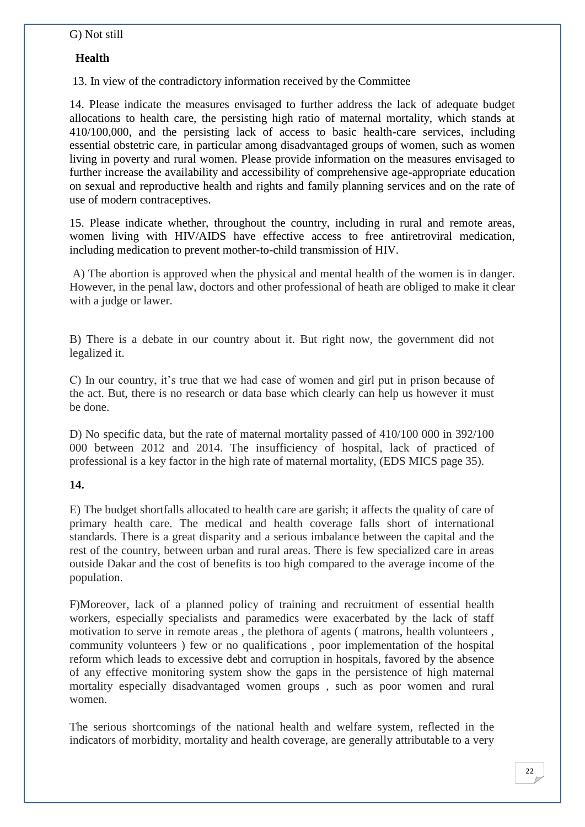#### G) Not still

#### **Health**

13. In view of the contradictory information received by the Committee

14. Please indicate the measures envisaged to further address the lack of adequate budget allocations to health care, the persisting high ratio of maternal mortality, which stands at 410/100,000, and the persisting lack of access to basic health-care services, including essential obstetric care, in particular among disadvantaged groups of women, such as women living in poverty and rural women. Please provide information on the measures envisaged to further increase the availability and accessibility of comprehensive age-appropriate education on sexual and reproductive health and rights and family planning services and on the rate of use of modern contraceptives.

15. Please indicate whether, throughout the country, including in rural and remote areas, women living with HIV/AIDS have effective access to free antiretroviral medication, including medication to prevent mother-to-child transmission of HIV.

A) The abortion is approved when the physical and mental health of the women is in danger. However, in the penal law, doctors and other professional of heath are obliged to make it clear with a judge or lawer.

B) There is a debate in our country about it. But right now, the government did not legalized it.

C) In our country, it's true that we had case of women and girl put in prison because of the act. But, there is no research or data base which clearly can help us however it must be done.

D) No specific data, but the rate of maternal mortality passed of 410/100 000 in 392/100 000 between 2012 and 2014. The insufficiency of hospital, lack of practiced of professional is a key factor in the high rate of maternal mortality, (EDS MICS page 35).

#### **14.**

E) The budget shortfalls allocated to health care are garish; it affects the quality of care of primary health care. The medical and health coverage falls short of international standards. There is a great disparity and a serious imbalance between the capital and the rest of the country, between urban and rural areas. There is few specialized care in areas outside Dakar and the cost of benefits is too high compared to the average income of the population.

F)Moreover, lack of a planned policy of training and recruitment of essential health workers, especially specialists and paramedics were exacerbated by the lack of staff motivation to serve in remote areas , the plethora of agents ( matrons, health volunteers , community volunteers ) few or no qualifications , poor implementation of the hospital reform which leads to excessive debt and corruption in hospitals, favored by the absence of any effective monitoring system show the gaps in the persistence of high maternal mortality especially disadvantaged women groups , such as poor women and rural women.

The serious shortcomings of the national health and welfare system, reflected in the indicators of morbidity, mortality and health coverage, are generally attributable to a very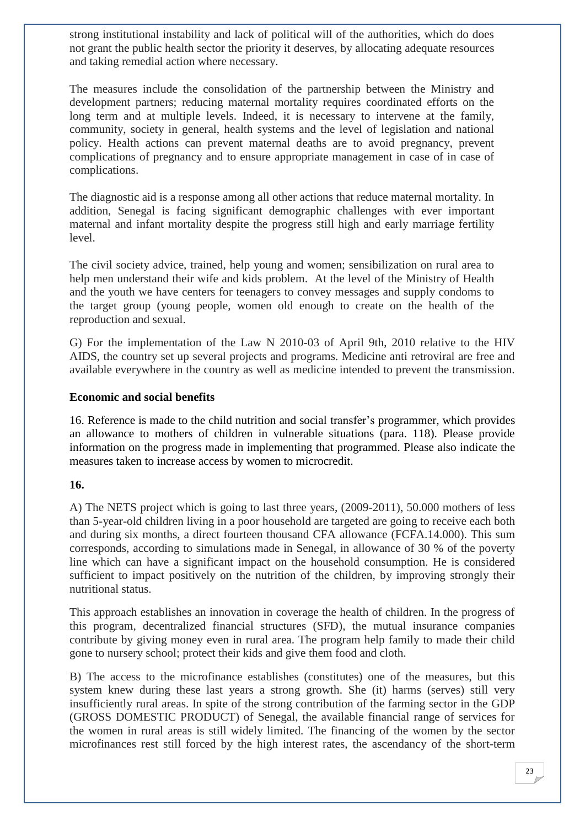strong institutional instability and lack of political will of the authorities, which do does not grant the public health sector the priority it deserves, by allocating adequate resources and taking remedial action where necessary.

The measures include the consolidation of the partnership between the Ministry and development partners; reducing maternal mortality requires coordinated efforts on the long term and at multiple levels. Indeed, it is necessary to intervene at the family, community, society in general, health systems and the level of legislation and national policy. Health actions can prevent maternal deaths are to avoid pregnancy, prevent complications of pregnancy and to ensure appropriate management in case of in case of complications.

The diagnostic aid is a response among all other actions that reduce maternal mortality. In addition, Senegal is facing significant demographic challenges with ever important maternal and infant mortality despite the progress still high and early marriage fertility level.

The civil society advice, trained, help young and women; sensibilization on rural area to help men understand their wife and kids problem. At the level of the Ministry of Health and the youth we have centers for teenagers to convey messages and supply condoms to the target group (young people, women old enough to create on the health of the reproduction and sexual.

G) For the implementation of the Law N 2010-03 of April 9th, 2010 relative to the HIV AIDS, the country set up several projects and programs. Medicine anti retroviral are free and available everywhere in the country as well as medicine intended to prevent the transmission.

#### **Economic and social benefits**

16. Reference is made to the child nutrition and social transfer's programmer, which provides an allowance to mothers of children in vulnerable situations (para. 118). Please provide information on the progress made in implementing that programmed. Please also indicate the measures taken to increase access by women to microcredit.

#### **16.**

A) The NETS project which is going to last three years, (2009-2011), 50.000 mothers of less than 5-year-old children living in a poor household are targeted are going to receive each both and during six months, a direct fourteen thousand CFA allowance (FCFA.14.000). This sum corresponds, according to simulations made in Senegal, in allowance of 30 % of the poverty line which can have a significant impact on the household consumption. He is considered sufficient to impact positively on the nutrition of the children, by improving strongly their nutritional status.

This approach establishes an innovation in coverage the health of children. In the progress of this program, decentralized financial structures (SFD), the mutual insurance companies contribute by giving money even in rural area. The program help family to made their child gone to nursery school; protect their kids and give them food and cloth.

B) The access to the microfinance establishes (constitutes) one of the measures, but this system knew during these last years a strong growth. She (it) harms (serves) still very insufficiently rural areas. In spite of the strong contribution of the farming sector in the GDP (GROSS DOMESTIC PRODUCT) of Senegal, the available financial range of services for the women in rural areas is still widely limited. The financing of the women by the sector microfinances rest still forced by the high interest rates, the ascendancy of the short-term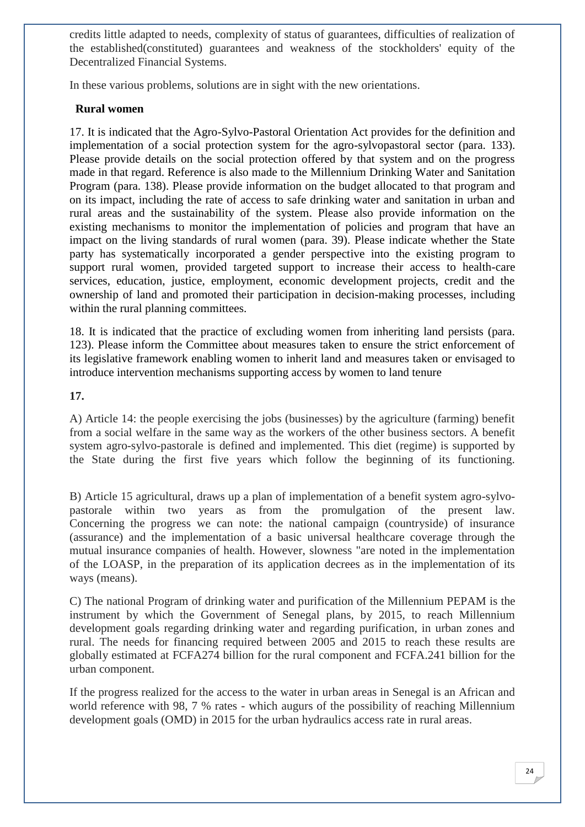credits little adapted to needs, complexity of status of guarantees, difficulties of realization of the established(constituted) guarantees and weakness of the stockholders' equity of the Decentralized Financial Systems.

In these various problems, solutions are in sight with the new orientations.

#### **Rural women**

17. It is indicated that the Agro-Sylvo-Pastoral Orientation Act provides for the definition and implementation of a social protection system for the agro-sylvopastoral sector (para. 133). Please provide details on the social protection offered by that system and on the progress made in that regard. Reference is also made to the Millennium Drinking Water and Sanitation Program (para. 138). Please provide information on the budget allocated to that program and on its impact, including the rate of access to safe drinking water and sanitation in urban and rural areas and the sustainability of the system. Please also provide information on the existing mechanisms to monitor the implementation of policies and program that have an impact on the living standards of rural women (para. 39). Please indicate whether the State party has systematically incorporated a gender perspective into the existing program to support rural women, provided targeted support to increase their access to health-care services, education, justice, employment, economic development projects, credit and the ownership of land and promoted their participation in decision-making processes, including within the rural planning committees.

18. It is indicated that the practice of excluding women from inheriting land persists (para. 123). Please inform the Committee about measures taken to ensure the strict enforcement of its legislative framework enabling women to inherit land and measures taken or envisaged to introduce intervention mechanisms supporting access by women to land tenure

#### **17.**

A) Article 14: the people exercising the jobs (businesses) by the agriculture (farming) benefit from a social welfare in the same way as the workers of the other business sectors. A benefit system agro-sylvo-pastorale is defined and implemented. This diet (regime) is supported by the State during the first five years which follow the beginning of its functioning.

B) Article 15 agricultural, draws up a plan of implementation of a benefit system agro-sylvopastorale within two years as from the promulgation of the present law. Concerning the progress we can note: the national campaign (countryside) of insurance (assurance) and the implementation of a basic universal healthcare coverage through the mutual insurance companies of health. However, slowness "are noted in the implementation of the LOASP, in the preparation of its application decrees as in the implementation of its ways (means).

C) The national Program of drinking water and purification of the Millennium PEPAM is the instrument by which the Government of Senegal plans, by 2015, to reach Millennium development goals regarding drinking water and regarding purification, in urban zones and rural. The needs for financing required between 2005 and 2015 to reach these results are globally estimated at FCFA274 billion for the rural component and FCFA.241 billion for the urban component.

If the progress realized for the access to the water in urban areas in Senegal is an African and world reference with 98, 7 % rates - which augurs of the possibility of reaching Millennium development goals (OMD) in 2015 for the urban hydraulics access rate in rural areas.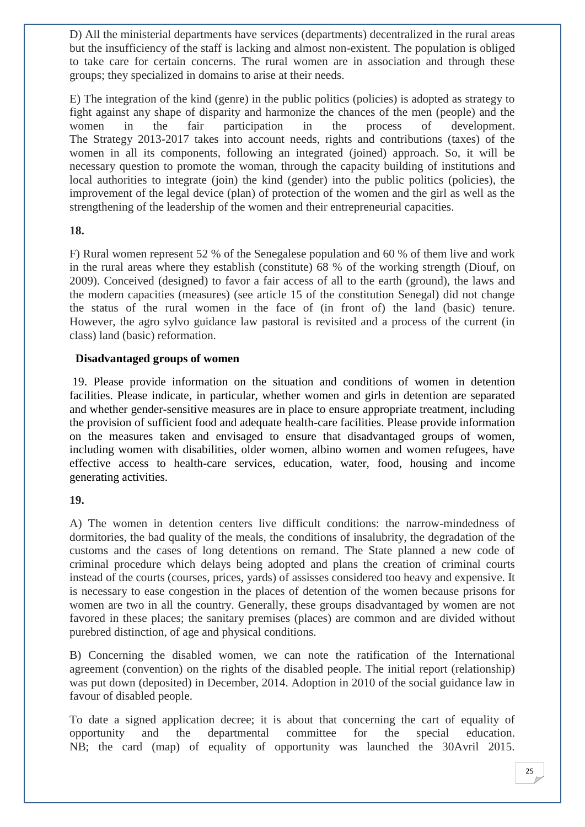D) All the ministerial departments have services (departments) decentralized in the rural areas but the insufficiency of the staff is lacking and almost non-existent. The population is obliged to take care for certain concerns. The rural women are in association and through these groups; they specialized in domains to arise at their needs.

E) The integration of the kind (genre) in the public politics (policies) is adopted as strategy to fight against any shape of disparity and harmonize the chances of the men (people) and the women in the fair participation in the process of development. The Strategy 2013-2017 takes into account needs, rights and contributions (taxes) of the women in all its components, following an integrated (joined) approach. So, it will be necessary question to promote the woman, through the capacity building of institutions and local authorities to integrate (join) the kind (gender) into the public politics (policies), the improvement of the legal device (plan) of protection of the women and the girl as well as the strengthening of the leadership of the women and their entrepreneurial capacities.

#### **18.**

F) Rural women represent 52 % of the Senegalese population and 60 % of them live and work in the rural areas where they establish (constitute) 68 % of the working strength (Diouf, on 2009). Conceived (designed) to favor a fair access of all to the earth (ground), the laws and the modern capacities (measures) (see article 15 of the constitution Senegal) did not change the status of the rural women in the face of (in front of) the land (basic) tenure. However, the agro sylvo guidance law pastoral is revisited and a process of the current (in class) land (basic) reformation.

#### **Disadvantaged groups of women**

19. Please provide information on the situation and conditions of women in detention facilities. Please indicate, in particular, whether women and girls in detention are separated and whether gender-sensitive measures are in place to ensure appropriate treatment, including the provision of sufficient food and adequate health-care facilities. Please provide information on the measures taken and envisaged to ensure that disadvantaged groups of women, including women with disabilities, older women, albino women and women refugees, have effective access to health-care services, education, water, food, housing and income generating activities.

#### **19.**

A) The women in detention centers live difficult conditions: the narrow-mindedness of dormitories, the bad quality of the meals, the conditions of insalubrity, the degradation of the customs and the cases of long detentions on remand. The State planned a new code of criminal procedure which delays being adopted and plans the creation of criminal courts instead of the courts (courses, prices, yards) of assisses considered too heavy and expensive. It is necessary to ease congestion in the places of detention of the women because prisons for women are two in all the country. Generally, these groups disadvantaged by women are not favored in these places; the sanitary premises (places) are common and are divided without purebred distinction, of age and physical conditions.

B) Concerning the disabled women, we can note the ratification of the International agreement (convention) on the rights of the disabled people. The initial report (relationship) was put down (deposited) in December, 2014. Adoption in 2010 of the social guidance law in favour of disabled people.

To date a signed application decree; it is about that concerning the cart of equality of opportunity and the departmental committee for the special education. NB; the card (map) of equality of opportunity was launched the 30Avril 2015.